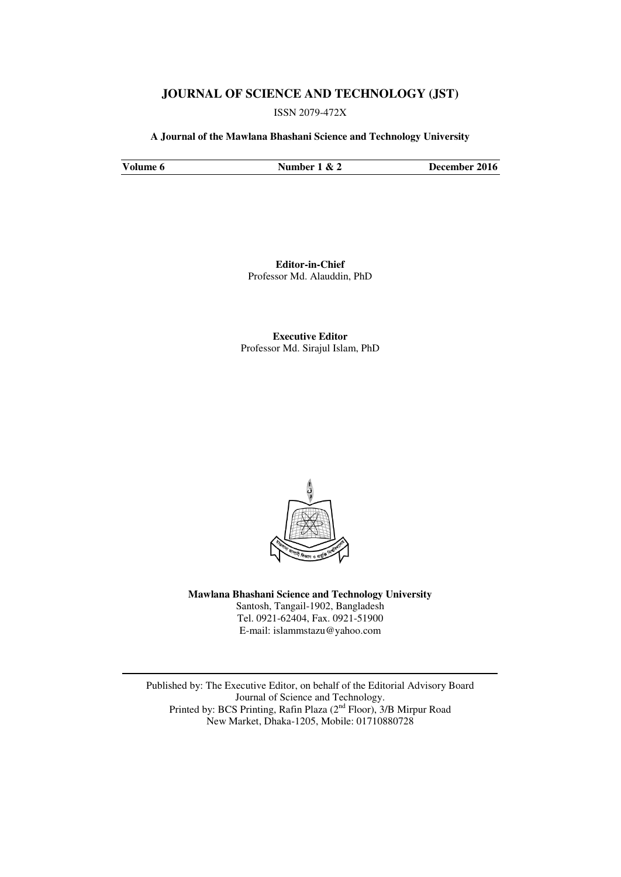# **JOURNAL OF SCIENCE AND TECHNOLOGY (JST)**

ISSN 2079-472X

**A Journal of the Mawlana Bhashani Science and Technology University** 

**Volume 6 Number 1 & 2 December 2016** 

**Editor-in-Chief**  Professor Md. Alauddin, PhD

**Executive Editor**  Professor Md. Sirajul Islam, PhD



**Mawlana Bhashani Science and Technology University**  Santosh, Tangail-1902, Bangladesh Tel. 0921-62404, Fax. 0921-51900 E-mail: [islammstazu@yahoo.com](mailto:oshin1996@yahoo.com) 

Published by: The Executive Editor, on behalf of the Editorial Advisory Board Journal of Science and Technology. Printed by: BCS Printing, Rafin Plaza (2<sup>nd</sup> Floor), 3/B Mirpur Road New Market, Dhaka-1205, Mobile: 01710880728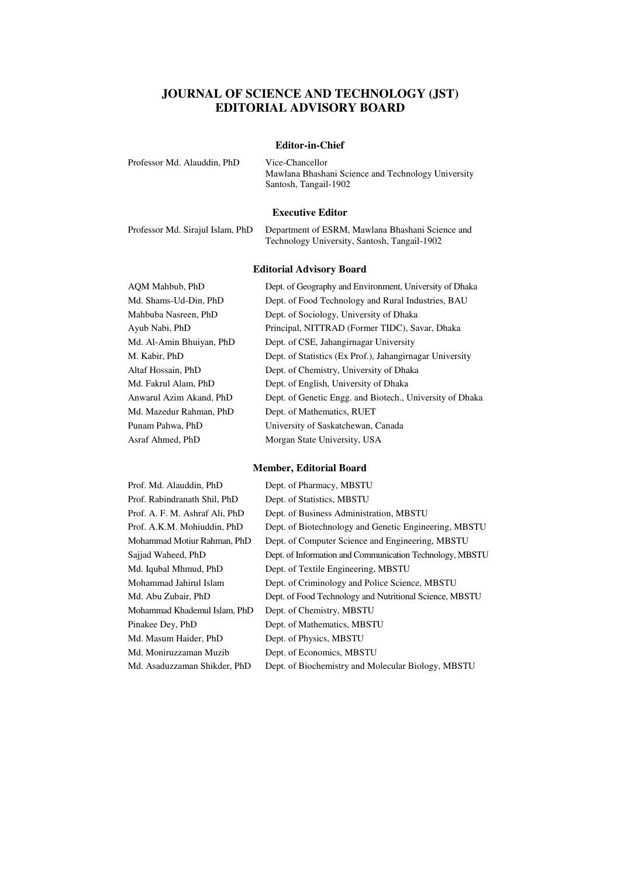# **JOURNAL OF SCIENCE AND TECHNOLOGY (JST) EDITORIAL ADVISORY BOARD**

### **Editor-in-Chief**

| Professor Md. Alauddin, PhD | Vice-Chancellor                                    |
|-----------------------------|----------------------------------------------------|
|                             | Mawlana Bhashani Science and Technology University |
|                             | Santosh, Tangail-1902                              |
|                             |                                                    |

#### **Executive Editor**

| Professor Md. Sirajul Islam, PhD | Department of ESRM, Mawlana Bhashani Science and |
|----------------------------------|--------------------------------------------------|
|                                  | Technology University, Santosh, Tangail-1902     |

#### **Editorial Advisory Board**

AQM Mahbub, PhD Dept. of Geography and Environment, University of Dhaka Md. Shams-Ud-Din, PhD Dept. of Food Technology and Rural Industries, BAU Mahbuba Nasreen, PhD Dept. of Sociology, University of Dhaka Ayub Nabi, PhD Principal, NITTRAD (Former TIDC), Savar, Dhaka Md. Al-Amin Bhuiyan, PhD Dept. of CSE, Jahangirnagar University M. Kabir, PhD Dept. of Statistics (Ex Prof.), Jahangirnagar University Altaf Hossain, PhD Dept. of Chemistry, University of Dhaka Md. Fakrul Alam, PhD Dept. of English, University of Dhaka Anwarul Azim Akand, PhD Dept. of Genetic Engg. and Biotech., University of Dhaka Md. Mazedur Rahman, PhD Dept. of Mathematics, RUET Punam Pahwa, PhD University of Saskatchewan, Canada Asraf Ahmed, PhD Morgan State University, USA

#### **Member, Editorial Board**

| Prof. Md. Alauddin, PhD        | Dept. of Pharmacy, MBSTU                                 |
|--------------------------------|----------------------------------------------------------|
| Prof. Rabindranath Shil, PhD   | Dept. of Statistics, MBSTU                               |
| Prof. A. F. M. Ashraf Ali, PhD | Dept. of Business Administration, MBSTU                  |
| Prof. A.K.M. Mohiuddin, PhD    | Dept. of Biotechnology and Genetic Engineering, MBSTU    |
| Mohammad Motiur Rahman, PhD    | Dept. of Computer Science and Engineering, MBSTU         |
| Sajjad Waheed, PhD             | Dept. of Information and Communication Technology, MBSTU |
| Md. Iqubal Mhmud, PhD          | Dept. of Textile Engineering, MBSTU                      |
| Mohammad Jahirul Islam         | Dept. of Criminology and Police Science, MBSTU           |
| Md. Abu Zubair, PhD            | Dept. of Food Technology and Nutritional Science, MBSTU  |
| Mohammad Khademul Islam, PhD   | Dept. of Chemistry, MBSTU                                |
| Pinakee Dey, PhD               | Dept. of Mathematics, MBSTU                              |
| Md. Masum Haider, PhD          | Dept. of Physics, MBSTU                                  |
| Md. Moniruzzaman Muzib         | Dept. of Economics, MBSTU                                |
| Md. Asaduzzaman Shikder, PhD   | Dept. of Biochemistry and Molecular Biology, MBSTU       |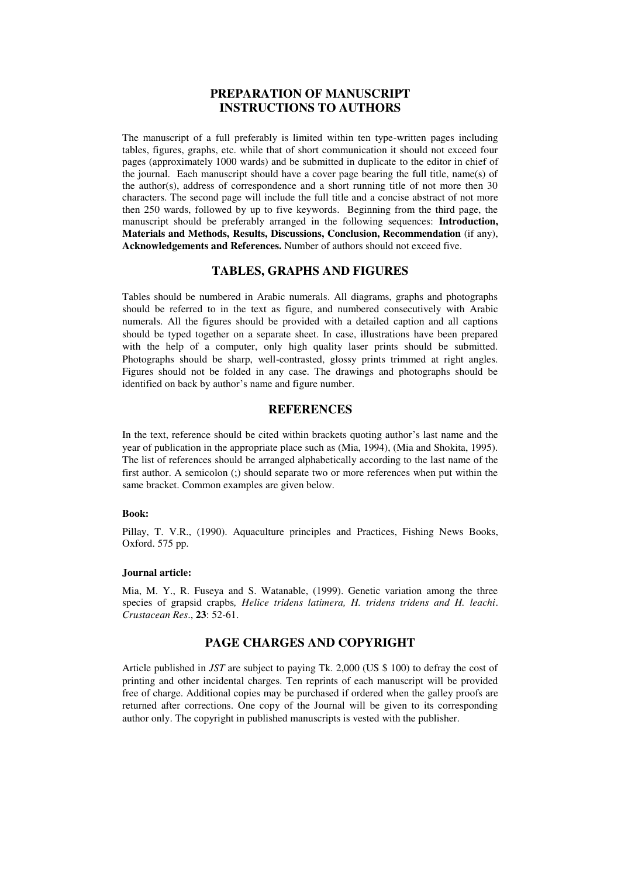# **PREPARATION OF MANUSCRIPT INSTRUCTIONS TO AUTHORS**

The manuscript of a full preferably is limited within ten type-written pages including tables, figures, graphs, etc. while that of short communication it should not exceed four pages (approximately 1000 wards) and be submitted in duplicate to the editor in chief of the journal. Each manuscript should have a cover page bearing the full title, name(s) of the author(s), address of correspondence and a short running title of not more then 30 characters. The second page will include the full title and a concise abstract of not more then 250 wards, followed by up to five keywords. Beginning from the third page, the manuscript should be preferably arranged in the following sequences: **Introduction, Materials and Methods, Results, Discussions, Conclusion, Recommendation** (if any), **Acknowledgements and References.** Number of authors should not exceed five.

# **TABLES, GRAPHS AND FIGURES**

Tables should be numbered in Arabic numerals. All diagrams, graphs and photographs should be referred to in the text as figure, and numbered consecutively with Arabic numerals. All the figures should be provided with a detailed caption and all captions should be typed together on a separate sheet. In case, illustrations have been prepared with the help of a computer, only high quality laser prints should be submitted. Photographs should be sharp, well-contrasted, glossy prints trimmed at right angles. Figures should not be folded in any case. The drawings and photographs should be identified on back by author's name and figure number.

# **REFERENCES**

In the text, reference should be cited within brackets quoting author's last name and the year of publication in the appropriate place such as (Mia, 1994), (Mia and Shokita, 1995). The list of references should be arranged alphabetically according to the last name of the first author. A semicolon (;) should separate two or more references when put within the same bracket. Common examples are given below.

#### **Book:**

Pillay, T. V.R., (1990). Aquaculture principles and Practices, Fishing News Books, Oxford. 575 pp.

#### **Journal article:**

Mia, M. Y., R. Fuseya and S. Watanable, (1999). Genetic variation among the three species of grapsid crapbs*, Helice tridens latimera, H. tridens tridens and H. leachi*. *Crustacean Res*., **23**: 52-61.

### **PAGE CHARGES AND COPYRIGHT**

Article published in *JST* are subject to paying Tk. 2,000 (US \$ 100) to defray the cost of printing and other incidental charges. Ten reprints of each manuscript will be provided free of charge. Additional copies may be purchased if ordered when the galley proofs are returned after corrections. One copy of the Journal will be given to its corresponding author only. The copyright in published manuscripts is vested with the publisher.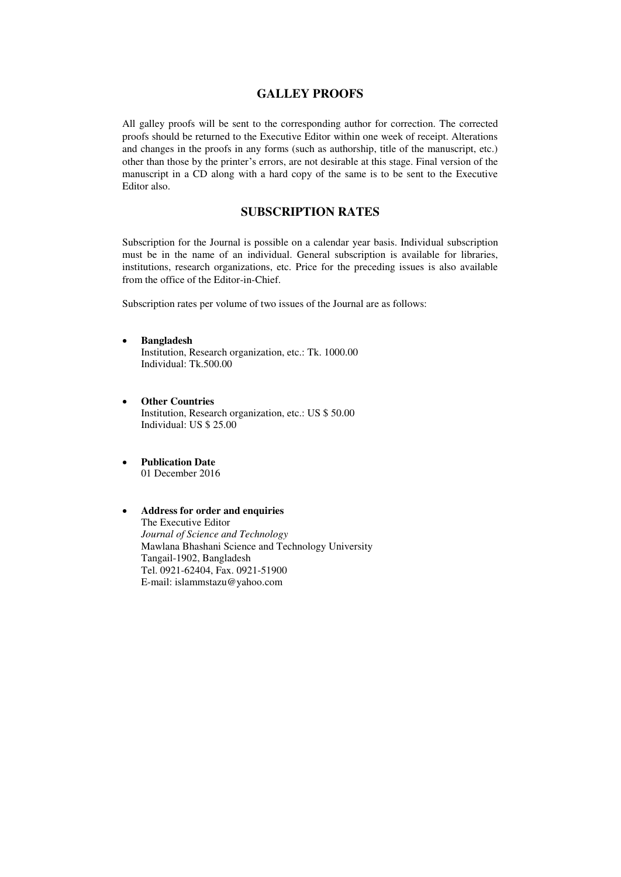# **GALLEY PROOFS**

All galley proofs will be sent to the corresponding author for correction. The corrected proofs should be returned to the Executive Editor within one week of receipt. Alterations and changes in the proofs in any forms (such as authorship, title of the manuscript, etc.) other than those by the printer's errors, are not desirable at this stage. Final version of the manuscript in a CD along with a hard copy of the same is to be sent to the Executive Editor also.

# **SUBSCRIPTION RATES**

Subscription for the Journal is possible on a calendar year basis. Individual subscription must be in the name of an individual. General subscription is available for libraries, institutions, research organizations, etc. Price for the preceding issues is also available from the office of the Editor-in-Chief.

Subscription rates per volume of two issues of the Journal are as follows:

- **Bangladesh**  Institution, Research organization, etc.: Tk. 1000.00 Individual: Tk.500.00
- **Other Countries**  Institution, Research organization, etc.: US \$ 50.00 Individual: US \$ 25.00
- **Publication Date** 01 December 2016
- **Address for order and enquiries**  The Executive Editor *Journal of Science and Technology*  Mawlana Bhashani Science and Technology University Tangail-1902, Bangladesh Tel. 0921-62404, Fax. 0921-51900 E-mail: [islammstazu@yahoo.com](mailto:oshin1996@yahoo.com)